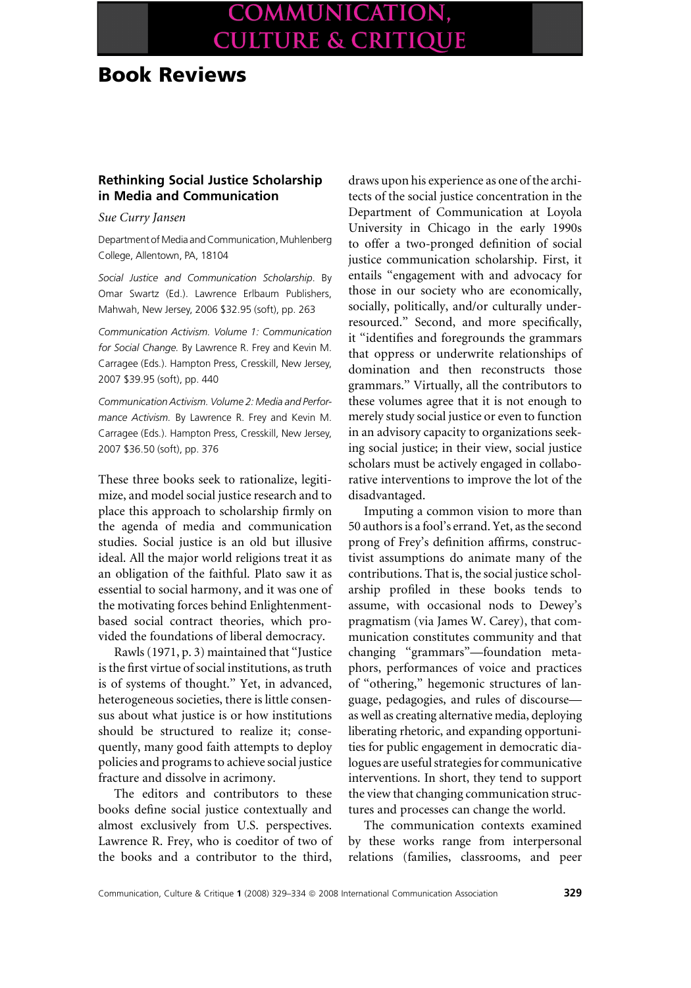# COMMUNICATION, **CULTURE & CRITIQUE**

## Book Reviews

### Rethinking Social Justice Scholarship in Media and Communication

Sue Curry Jansen

Department of Media and Communication, Muhlenberg College, Allentown, PA, 18104

Social Justice and Communication Scholarship. By Omar Swartz (Ed.). Lawrence Erlbaum Publishers, Mahwah, New Jersey, 2006 \$32.95 (soft), pp. 263

Communication Activism. Volume 1: Communication for Social Change. By Lawrence R. Frey and Kevin M. Carragee (Eds.). Hampton Press, Cresskill, New Jersey, 2007 \$39.95 (soft), pp. 440

Communication Activism. Volume 2: Media and Performance Activism. By Lawrence R. Frey and Kevin M. Carragee (Eds.). Hampton Press, Cresskill, New Jersey, 2007 \$36.50 (soft), pp. 376

These three books seek to rationalize, legitimize, and model social justice research and to place this approach to scholarship firmly on the agenda of media and communication studies. Social justice is an old but illusive ideal. All the major world religions treat it as an obligation of the faithful. Plato saw it as essential to social harmony, and it was one of the motivating forces behind Enlightenmentbased social contract theories, which provided the foundations of liberal democracy.

Rawls (1971, p. 3) maintained that ''Justice is the first virtue of social institutions, as truth is of systems of thought.'' Yet, in advanced, heterogeneous societies, there is little consensus about what justice is or how institutions should be structured to realize it; consequently, many good faith attempts to deploy policies and programs to achieve social justice fracture and dissolve in acrimony.

The editors and contributors to these books define social justice contextually and almost exclusively from U.S. perspectives. Lawrence R. Frey, who is coeditor of two of the books and a contributor to the third, draws upon his experience as one of the architects of the social justice concentration in the Department of Communication at Loyola University in Chicago in the early 1990s to offer a two-pronged definition of social justice communication scholarship. First, it entails ''engagement with and advocacy for those in our society who are economically, socially, politically, and/or culturally underresourced.'' Second, and more specifically, it ''identifies and foregrounds the grammars that oppress or underwrite relationships of domination and then reconstructs those grammars.'' Virtually, all the contributors to these volumes agree that it is not enough to merely study social justice or even to function in an advisory capacity to organizations seeking social justice; in their view, social justice scholars must be actively engaged in collaborative interventions to improve the lot of the disadvantaged.

Imputing a common vision to more than 50 authors is a fool's errand. Yet, as the second prong of Frey's definition affirms, constructivist assumptions do animate many of the contributions. That is, the social justice scholarship profiled in these books tends to assume, with occasional nods to Dewey's pragmatism (via James W. Carey), that communication constitutes community and that changing ''grammars''—foundation metaphors, performances of voice and practices of ''othering,'' hegemonic structures of language, pedagogies, and rules of discourse as well as creating alternative media, deploying liberating rhetoric, and expanding opportunities for public engagement in democratic dialogues are useful strategies for communicative interventions. In short, they tend to support the view that changing communication structures and processes can change the world.

The communication contexts examined by these works range from interpersonal relations (families, classrooms, and peer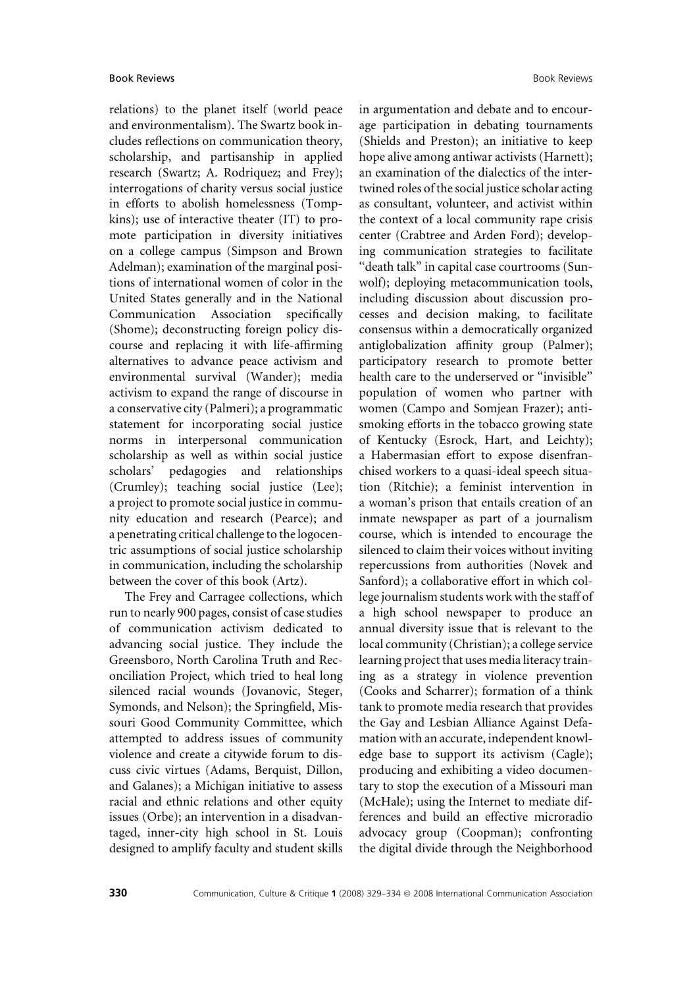relations) to the planet itself (world peace and environmentalism). The Swartz book includes reflections on communication theory, scholarship, and partisanship in applied research (Swartz; A. Rodriquez; and Frey); interrogations of charity versus social justice in efforts to abolish homelessness (Tompkins); use of interactive theater (IT) to promote participation in diversity initiatives on a college campus (Simpson and Brown Adelman); examination of the marginal positions of international women of color in the United States generally and in the National Communication Association specifically (Shome); deconstructing foreign policy discourse and replacing it with life-affirming alternatives to advance peace activism and environmental survival (Wander); media activism to expand the range of discourse in a conservative city (Palmeri); a programmatic statement for incorporating social justice norms in interpersonal communication scholarship as well as within social justice scholars' pedagogies and relationships (Crumley); teaching social justice (Lee); a project to promote social justice in community education and research (Pearce); and a penetrating critical challenge to the logocentric assumptions of social justice scholarship in communication, including the scholarship between the cover of this book (Artz).

The Frey and Carragee collections, which run to nearly 900 pages, consist of case studies of communication activism dedicated to advancing social justice. They include the Greensboro, North Carolina Truth and Reconciliation Project, which tried to heal long silenced racial wounds (Jovanovic, Steger, Symonds, and Nelson); the Springfield, Missouri Good Community Committee, which attempted to address issues of community violence and create a citywide forum to discuss civic virtues (Adams, Berquist, Dillon, and Galanes); a Michigan initiative to assess racial and ethnic relations and other equity issues (Orbe); an intervention in a disadvantaged, inner-city high school in St. Louis designed to amplify faculty and student skills

in argumentation and debate and to encourage participation in debating tournaments (Shields and Preston); an initiative to keep hope alive among antiwar activists (Harnett); an examination of the dialectics of the intertwined roles of the social justice scholar acting as consultant, volunteer, and activist within the context of a local community rape crisis center (Crabtree and Arden Ford); developing communication strategies to facilitate ''death talk'' in capital case courtrooms (Sunwolf); deploying metacommunication tools, including discussion about discussion processes and decision making, to facilitate consensus within a democratically organized antiglobalization affinity group (Palmer); participatory research to promote better health care to the underserved or ''invisible'' population of women who partner with women (Campo and Somjean Frazer); antismoking efforts in the tobacco growing state of Kentucky (Esrock, Hart, and Leichty); a Habermasian effort to expose disenfranchised workers to a quasi-ideal speech situation (Ritchie); a feminist intervention in a woman's prison that entails creation of an inmate newspaper as part of a journalism course, which is intended to encourage the silenced to claim their voices without inviting repercussions from authorities (Novek and Sanford); a collaborative effort in which college journalism students work with the staff of a high school newspaper to produce an annual diversity issue that is relevant to the local community (Christian); a college service learning project that uses media literacy training as a strategy in violence prevention (Cooks and Scharrer); formation of a think tank to promote media research that provides the Gay and Lesbian Alliance Against Defamation with an accurate, independent knowledge base to support its activism (Cagle); producing and exhibiting a video documentary to stop the execution of a Missouri man (McHale); using the Internet to mediate differences and build an effective microradio advocacy group (Coopman); confronting the digital divide through the Neighborhood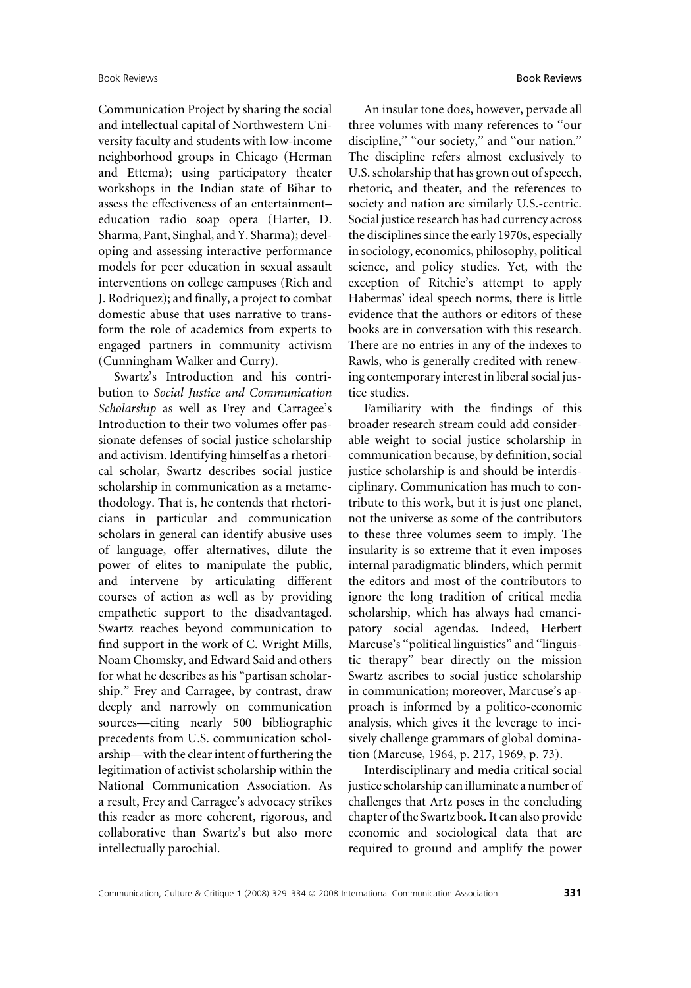Communication Project by sharing the social and intellectual capital of Northwestern University faculty and students with low-income neighborhood groups in Chicago (Herman and Ettema); using participatory theater workshops in the Indian state of Bihar to assess the effectiveness of an entertainment– education radio soap opera (Harter, D. Sharma, Pant, Singhal, and Y. Sharma); developing and assessing interactive performance models for peer education in sexual assault interventions on college campuses (Rich and J. Rodriquez); and finally, a project to combat domestic abuse that uses narrative to transform the role of academics from experts to engaged partners in community activism (Cunningham Walker and Curry).

Swartz's Introduction and his contribution to Social Justice and Communication Scholarship as well as Frey and Carragee's Introduction to their two volumes offer passionate defenses of social justice scholarship and activism. Identifying himself as a rhetorical scholar, Swartz describes social justice scholarship in communication as a metamethodology. That is, he contends that rhetoricians in particular and communication scholars in general can identify abusive uses of language, offer alternatives, dilute the power of elites to manipulate the public, and intervene by articulating different courses of action as well as by providing empathetic support to the disadvantaged. Swartz reaches beyond communication to find support in the work of C. Wright Mills, Noam Chomsky, and Edward Said and others for what he describes as his ''partisan scholarship.'' Frey and Carragee, by contrast, draw deeply and narrowly on communication sources—citing nearly 500 bibliographic precedents from U.S. communication scholarship—with the clear intent of furthering the legitimation of activist scholarship within the National Communication Association. As a result, Frey and Carragee's advocacy strikes this reader as more coherent, rigorous, and collaborative than Swartz's but also more intellectually parochial.

An insular tone does, however, pervade all three volumes with many references to ''our discipline," "our society," and "our nation." The discipline refers almost exclusively to U.S. scholarship that has grown out of speech, rhetoric, and theater, and the references to society and nation are similarly U.S.-centric. Social justice research has had currency across the disciplines since the early 1970s, especially in sociology, economics, philosophy, political science, and policy studies. Yet, with the exception of Ritchie's attempt to apply Habermas' ideal speech norms, there is little evidence that the authors or editors of these books are in conversation with this research. There are no entries in any of the indexes to Rawls, who is generally credited with renewing contemporary interest in liberal social justice studies.

Familiarity with the findings of this broader research stream could add considerable weight to social justice scholarship in communication because, by definition, social justice scholarship is and should be interdisciplinary. Communication has much to contribute to this work, but it is just one planet, not the universe as some of the contributors to these three volumes seem to imply. The insularity is so extreme that it even imposes internal paradigmatic blinders, which permit the editors and most of the contributors to ignore the long tradition of critical media scholarship, which has always had emancipatory social agendas. Indeed, Herbert Marcuse's ''political linguistics'' and ''linguistic therapy'' bear directly on the mission Swartz ascribes to social justice scholarship in communication; moreover, Marcuse's approach is informed by a politico-economic analysis, which gives it the leverage to incisively challenge grammars of global domination (Marcuse, 1964, p. 217, 1969, p. 73).

Interdisciplinary and media critical social justice scholarship can illuminate a number of challenges that Artz poses in the concluding chapter of the Swartz book. It can also provide economic and sociological data that are required to ground and amplify the power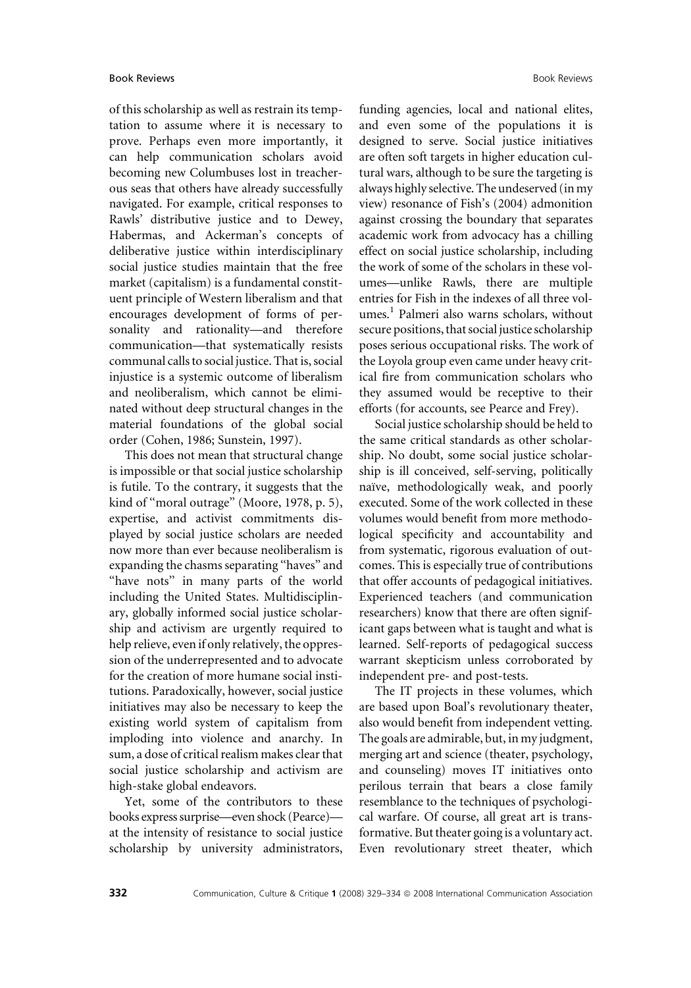of this scholarship as well as restrain its temptation to assume where it is necessary to prove. Perhaps even more importantly, it can help communication scholars avoid becoming new Columbuses lost in treacherous seas that others have already successfully navigated. For example, critical responses to Rawls' distributive justice and to Dewey, Habermas, and Ackerman's concepts of deliberative justice within interdisciplinary social justice studies maintain that the free market (capitalism) is a fundamental constituent principle of Western liberalism and that encourages development of forms of personality and rationality—and therefore communication—that systematically resists communal calls to social justice. That is, social injustice is a systemic outcome of liberalism and neoliberalism, which cannot be eliminated without deep structural changes in the material foundations of the global social order (Cohen, 1986; Sunstein, 1997).

This does not mean that structural change is impossible or that social justice scholarship is futile. To the contrary, it suggests that the kind of "moral outrage" (Moore, 1978, p. 5), expertise, and activist commitments displayed by social justice scholars are needed now more than ever because neoliberalism is expanding the chasms separating ''haves'' and "have nots" in many parts of the world including the United States. Multidisciplinary, globally informed social justice scholarship and activism are urgently required to help relieve, even if only relatively, the oppression of the underrepresented and to advocate for the creation of more humane social institutions. Paradoxically, however, social justice initiatives may also be necessary to keep the existing world system of capitalism from imploding into violence and anarchy. In sum, a dose of critical realism makes clear that social justice scholarship and activism are high-stake global endeavors.

Yet, some of the contributors to these books express surprise—even shock (Pearce) at the intensity of resistance to social justice scholarship by university administrators, funding agencies, local and national elites, and even some of the populations it is designed to serve. Social justice initiatives are often soft targets in higher education cultural wars, although to be sure the targeting is always highly selective. The undeserved (in my view) resonance of Fish's (2004) admonition against crossing the boundary that separates academic work from advocacy has a chilling effect on social justice scholarship, including the work of some of the scholars in these volumes—unlike Rawls, there are multiple entries for Fish in the indexes of all three volumes.<sup>1</sup> Palmeri also warns scholars, without secure positions, that social justice scholarship poses serious occupational risks. The work of the Loyola group even came under heavy critical fire from communication scholars who they assumed would be receptive to their efforts (for accounts, see Pearce and Frey).

Social justice scholarship should be held to the same critical standards as other scholarship. No doubt, some social justice scholarship is ill conceived, self-serving, politically naïve, methodologically weak, and poorly executed. Some of the work collected in these volumes would benefit from more methodological specificity and accountability and from systematic, rigorous evaluation of outcomes. This is especially true of contributions that offer accounts of pedagogical initiatives. Experienced teachers (and communication researchers) know that there are often significant gaps between what is taught and what is learned. Self-reports of pedagogical success warrant skepticism unless corroborated by independent pre- and post-tests.

The IT projects in these volumes, which are based upon Boal's revolutionary theater, also would benefit from independent vetting. The goals are admirable, but, in my judgment, merging art and science (theater, psychology, and counseling) moves IT initiatives onto perilous terrain that bears a close family resemblance to the techniques of psychological warfare. Of course, all great art is transformative. But theater going is a voluntary act. Even revolutionary street theater, which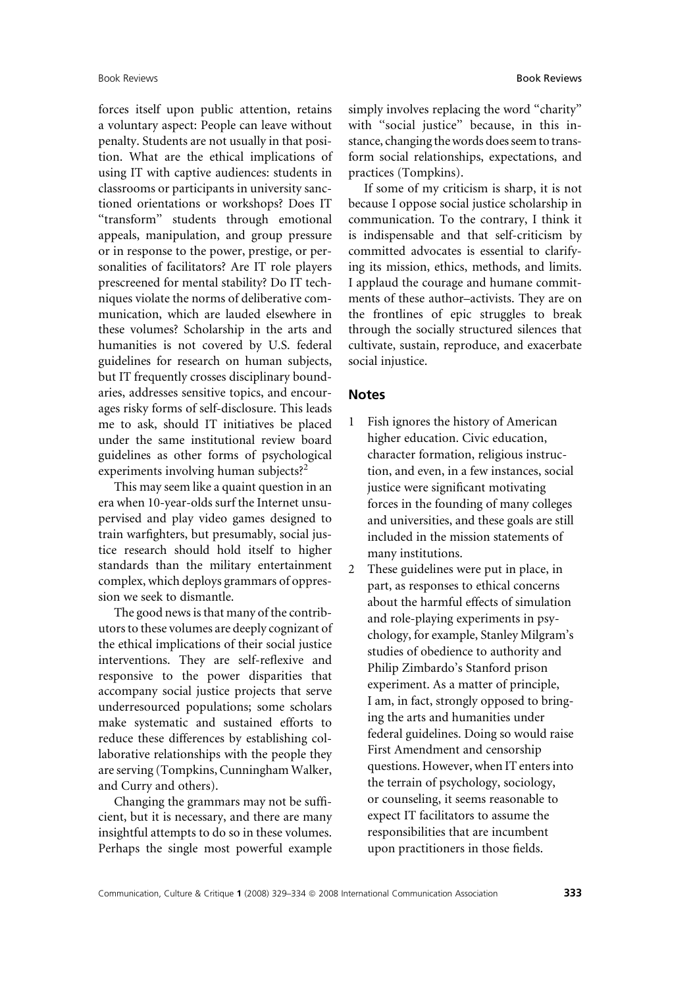forces itself upon public attention, retains a voluntary aspect: People can leave without penalty. Students are not usually in that position. What are the ethical implications of using IT with captive audiences: students in classrooms or participants in university sanctioned orientations or workshops? Does IT ''transform'' students through emotional appeals, manipulation, and group pressure or in response to the power, prestige, or personalities of facilitators? Are IT role players prescreened for mental stability? Do IT techniques violate the norms of deliberative communication, which are lauded elsewhere in these volumes? Scholarship in the arts and humanities is not covered by U.S. federal guidelines for research on human subjects, but IT frequently crosses disciplinary boundaries, addresses sensitive topics, and encourages risky forms of self-disclosure. This leads me to ask, should IT initiatives be placed under the same institutional review board guidelines as other forms of psychological experiments involving human subjects?<sup>2</sup>

This may seem like a quaint question in an era when 10-year-olds surf the Internet unsupervised and play video games designed to train warfighters, but presumably, social justice research should hold itself to higher standards than the military entertainment complex, which deploys grammars of oppression we seek to dismantle.

The good news is that many of the contributors to these volumes are deeply cognizant of the ethical implications of their social justice interventions. They are self-reflexive and responsive to the power disparities that accompany social justice projects that serve underresourced populations; some scholars make systematic and sustained efforts to reduce these differences by establishing collaborative relationships with the people they are serving (Tompkins, Cunningham Walker, and Curry and others).

Changing the grammars may not be sufficient, but it is necessary, and there are many insightful attempts to do so in these volumes. Perhaps the single most powerful example simply involves replacing the word ''charity'' with ''social justice'' because, in this instance, changing the words does seem to transform social relationships, expectations, and practices (Tompkins).

If some of my criticism is sharp, it is not because I oppose social justice scholarship in communication. To the contrary, I think it is indispensable and that self-criticism by committed advocates is essential to clarifying its mission, ethics, methods, and limits. I applaud the courage and humane commitments of these author–activists. They are on the frontlines of epic struggles to break through the socially structured silences that cultivate, sustain, reproduce, and exacerbate social injustice.

#### Notes

- 1 Fish ignores the history of American higher education. Civic education, character formation, religious instruction, and even, in a few instances, social justice were significant motivating forces in the founding of many colleges and universities, and these goals are still included in the mission statements of many institutions.
- 2 These guidelines were put in place, in part, as responses to ethical concerns about the harmful effects of simulation and role-playing experiments in psychology, for example, Stanley Milgram's studies of obedience to authority and Philip Zimbardo's Stanford prison experiment. As a matter of principle, I am, in fact, strongly opposed to bringing the arts and humanities under federal guidelines. Doing so would raise First Amendment and censorship questions. However, when IT enters into the terrain of psychology, sociology, or counseling, it seems reasonable to expect IT facilitators to assume the responsibilities that are incumbent upon practitioners in those fields.